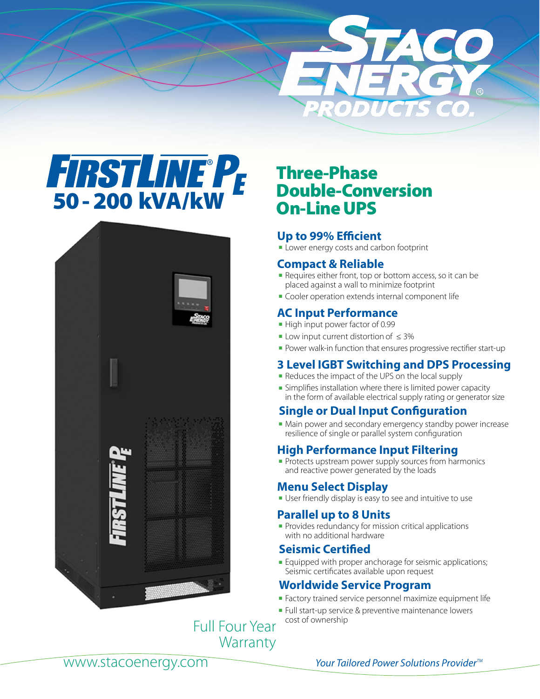





# Three-Phase Double-Conversion On-Line UPS

## **Up to 99% Efficient**

**-** Lower energy costs and carbon footprint

## **Compact & Reliable**

- **-** Requires either front, top or bottom access, so it can be placed against a wall to minimize footprint
- **Cooler operation extends internal component life**

## **AC Input Performance**

- **-** High input power factor of 0.99
- **-** Low input current distortion of  $\leq 3\%$
- Power walk-in function that ensures progressive rectifier start-up

## **3 Level IGBT Switching and DPS Processing**

- Reduces the impact of the UPS on the local supply
- **Examplifies installation where there is limited power capacity** in the form of available electrical supply rating or generator size

## **Single or Dual Input Configuration**

• Main power and secondary emergency standby power increase resilience of single or parallel system configuration

## **High Performance Input Filtering**

• Protects upstream power supply sources from harmonics and reactive power generated by the loads

## **Menu Select Display**

**Journally User friendly display is easy to see and intuitive to use** 

## **Parallel up to 8 Units**

<sup>n</sup> Provides redundancy for mission critical applications with no additional hardware

## **Seismic Certified**

**Equipped with proper anchorage for seismic applications;** Seismic certificates available upon request

## **Worldwide Service Program**

- <sup>n</sup> Factory trained service personnel maximize equipment life
- Full start-up service & preventive maintenance lowers cost of ownership

Full Four Year **Warranty**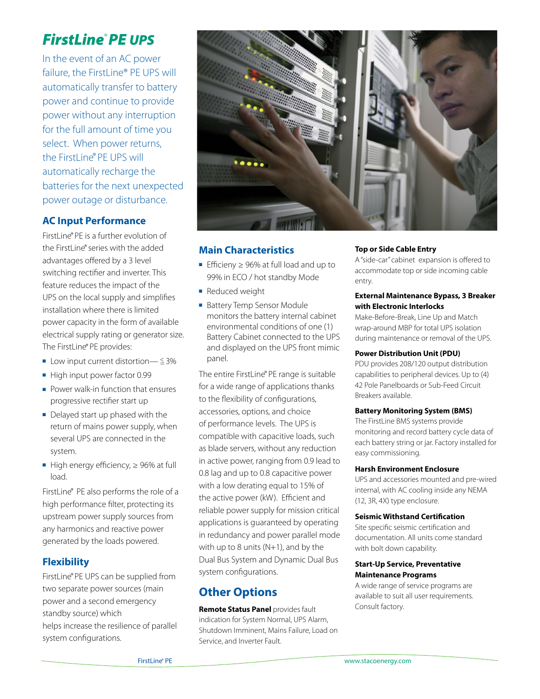# *FirstLine*® *PE UPS*

In the event of an AC power failure, the FirstLine® PE UPS will automatically transfer to battery power and continue to provide power without any interruption for the full amount of time you select. When power returns, the FirstLine® PE UPS will automatically recharge the batteries for the next unexpected power outage or disturbance.

## **AC Input Performance**

FirstLine® PE is a further evolution of the FirstLine® series with the added advantages offered by a 3 level switching rectifier and inverter. This feature reduces the impact of the UPS on the local supply and simplifies installation where there is limited power capacity in the form of available electrical supply rating or generator size. The FirstLine® PE provides:

- **DE Low input current distortion—**  $\leq 3\%$
- $\blacksquare$  High input power factor 0.99
- $\blacksquare$  Power walk-in function that ensures progressive rectifier start up
- $\blacksquare$  Delayed start up phased with the return of mains power supply, when several UPS are connected in the system.
- High energy efficiency,  $\geq$  96% at full load.

FirstLine® PE also performs the role of a high performance filter, protecting its upstream power supply sources from any harmonics and reactive power generated by the loads powered.

## **Flexibility**

FirstLine® PE UPS can be supplied from two separate power sources (main power and a second emergency standby source) which helps increase the resilience of parallel system configurations.



#### **Main Characteristics**

- Efficieny  $\geq$  96% at full load and up to 99% in ECO / hot standby Mode
- **Reduced weight**
- **Battery Temp Sensor Module** monitors the battery internal cabinet environmental conditions of one (1) Battery Cabinet connected to the UPS and displayed on the UPS front mimic panel.

The entire FirstLine® PE range is suitable for a wide range of applications thanks to the flexibility of configurations, accessories, options, and choice of performance levels. The UPS is compatible with capacitive loads, such as blade servers, without any reduction in active power, ranging from 0.9 lead to 0.8 lag and up to 0.8 capacitive power with a low derating equal to 15% of the active power (kW). Efficient and reliable power supply for mission critical applications is guaranteed by operating in redundancy and power parallel mode with up to 8 units  $(N+1)$ , and by the Dual Bus System and Dynamic Dual Bus system configurations.

## **Other Options**

**Remote Status Panel** provides fault indication for System Normal, UPS Alarm, Shutdown Imminent, Mains Failure, Load on Service, and Inverter Fault.

#### **Top or Side Cable Entry**

A "side-car" cabinet expansion is offered to accommodate top or side incoming cable entry.

#### **External Maintenance Bypass, 3 Breaker with Electronic Interlocks**

Make-Before-Break, Line Up and Match wrap-around MBP for total UPS isolation during maintenance or removal of the UPS.

#### **Power Distribution Unit (PDU)**

PDU provides 208/120 output distribution capabilities to peripheral devices. Up to (4) 42 Pole Panelboards or Sub-Feed Circuit Breakers available.

#### **Battery Monitoring System (BMS)**

The FirstLine BMS systems provide monitoring and record battery cycle data of each battery string or jar. Factory installed for easy commissioning.

#### **Harsh Environment Enclosure**

UPS and accessories mounted and pre-wired internal, with AC cooling inside any NEMA (12, 3R, 4X) type enclosure.

#### **Seismic Withstand Certification**

Site specific seismic certification and documentation. All units come standard with bolt down capability.

#### **Start-Up Service, Preventative Maintenance Programs**

A wide range of service programs are available to suit all user requirements. Consult factory.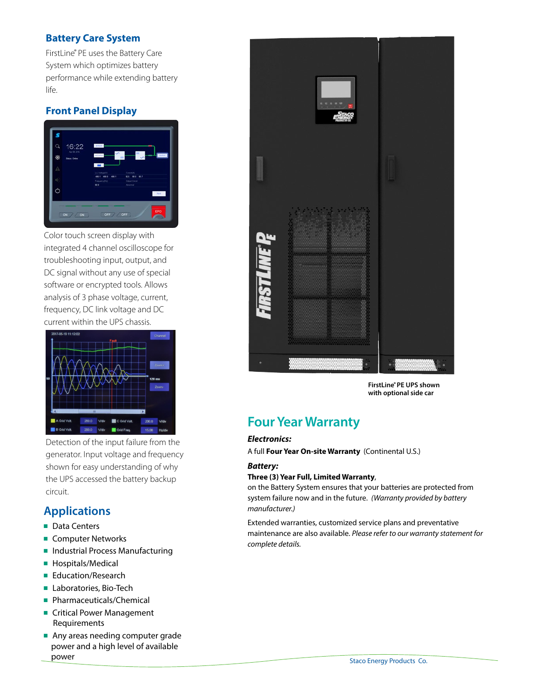## **Battery Care System**

FirstLine® PE uses the Battery Care System which optimizes battery performance while extending battery life.

## **Front Panel Display**



Color touch screen display with integrated 4 channel oscilloscope for troubleshooting input, output, and DC signal without any use of special software or encrypted tools. Allows analysis of 3 phase voltage, current, frequency, DC link voltage and DC current within the UPS chassis.



Detection of the input failure from the generator. Input voltage and frequency shown for easy understanding of why the UPS accessed the battery backup circuit.

## **Applications**

- Data Centers
- **n** Computer Networks
- **n** Industrial Process Manufacturing
- **n** Hospitals/Medical
- **Education/Research**
- **E** Laboratories, Bio-Tech
- **Pharmaceuticals/Chemical**
- **n** Critical Power Management Requirements
- **n** Any areas needing computer grade power and a high level of available power



**FirstLine® PE UPS shown with optional side car**

## **Four Year Warranty**

#### *Electronics:*

A full **Four Year On-site Warranty** (Continental U.S.)

#### *Battery:*

#### **Three (3) Year Full, Limited Warranty**,

on the Battery System ensures that your batteries are protected from system failure now and in the future. *(Warranty provided by battery manufacturer.)*

Extended warranties, customized service plans and preventative maintenance are also available. *Please refer to our warranty statement for complete details.*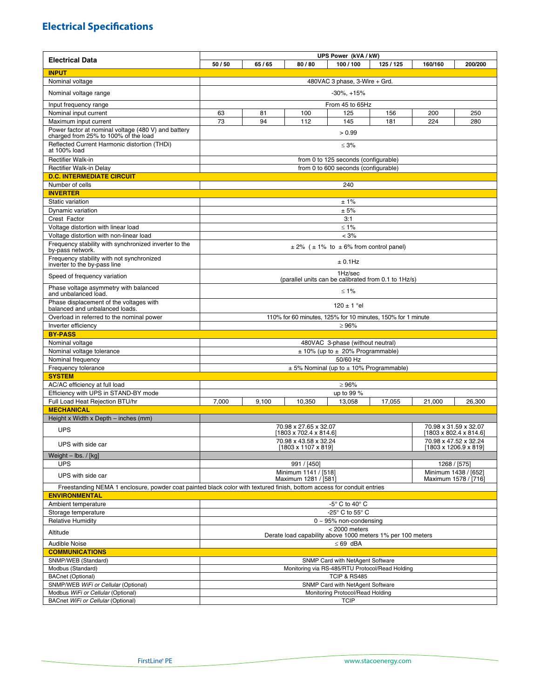## **Electrical Specifications**

|                                                                                                                        | UPS Power (kVA / kW)                                                                                           |                                  |        |                                                 |         |         |         |  |
|------------------------------------------------------------------------------------------------------------------------|----------------------------------------------------------------------------------------------------------------|----------------------------------|--------|-------------------------------------------------|---------|---------|---------|--|
| <b>Electrical Data</b>                                                                                                 | 50/50                                                                                                          | 65/65                            | 80/80  | 100/100                                         | 125/125 | 160/160 | 200/200 |  |
| <b>INPUT</b>                                                                                                           |                                                                                                                |                                  |        |                                                 |         |         |         |  |
| Nominal voltage                                                                                                        | 480VAC 3 phase, 3-Wire + Grd.                                                                                  |                                  |        |                                                 |         |         |         |  |
| Nominal voltage range                                                                                                  | $-30\%$ , $+15\%$                                                                                              |                                  |        |                                                 |         |         |         |  |
| Input frequency range                                                                                                  | From 45 to 65Hz                                                                                                |                                  |        |                                                 |         |         |         |  |
| Nominal input current                                                                                                  | 63                                                                                                             | 81                               | 100    | 125                                             | 156     | 200     | 250     |  |
| Maximum input current                                                                                                  | 73                                                                                                             | 94                               | 112    | 145                                             | 181     | 224     | 280     |  |
| Power factor at nominal voltage (480 V) and battery<br>charged from 25% to 100% of the load                            |                                                                                                                |                                  |        | > 0.99                                          |         |         |         |  |
| Reflected Current Harmonic distortion (THDi)<br>at 100% load                                                           | $\leq 3\%$                                                                                                     |                                  |        |                                                 |         |         |         |  |
| <b>Rectifier Walk-in</b>                                                                                               | from 0 to 125 seconds (configurable)                                                                           |                                  |        |                                                 |         |         |         |  |
| Rectifier Walk-in Delay                                                                                                | from 0 to 600 seconds (configurable)                                                                           |                                  |        |                                                 |         |         |         |  |
| <b>D.C. INTERMEDIATE CIRCUIT</b>                                                                                       |                                                                                                                |                                  |        |                                                 |         |         |         |  |
| Number of cells                                                                                                        |                                                                                                                |                                  |        | 240                                             |         |         |         |  |
| <b>INVERTER</b>                                                                                                        |                                                                                                                |                                  |        |                                                 |         |         |         |  |
| Static variation                                                                                                       | ±1%                                                                                                            |                                  |        |                                                 |         |         |         |  |
| Dynamic variation                                                                                                      | ± 5%<br>3:1                                                                                                    |                                  |        |                                                 |         |         |         |  |
| Crest Factor                                                                                                           |                                                                                                                |                                  |        |                                                 |         |         |         |  |
| Voltage distortion with linear load<br>Voltage distortion with non-linear load                                         | ≤ 1%<br>< 3%                                                                                                   |                                  |        |                                                 |         |         |         |  |
| Frequency stability with synchronized inverter to the                                                                  | $\pm$ 2% ( $\pm$ 1% to $\pm$ 6% from control panel)                                                            |                                  |        |                                                 |         |         |         |  |
| by-pass network.<br>Frequency stability with not synchronized                                                          | $± 0.1$ Hz                                                                                                     |                                  |        |                                                 |         |         |         |  |
| inverter to the by-pass line<br>Speed of frequency variation                                                           | 1Hz/sec                                                                                                        |                                  |        |                                                 |         |         |         |  |
| Phase voltage asymmetry with balanced<br>and unbalanced load.                                                          | (parallel units can be calibrated from 0.1 to 1Hz/s)<br>≤ 1%                                                   |                                  |        |                                                 |         |         |         |  |
| Phase displacement of the voltages with                                                                                | $120 \pm 1$ °el                                                                                                |                                  |        |                                                 |         |         |         |  |
| balanced and unbalanced loads.<br>Overload in referred to the nominal power                                            | 110% for 60 minutes, 125% for 10 minutes, 150% for 1 minute                                                    |                                  |        |                                                 |         |         |         |  |
| Inverter efficiency                                                                                                    |                                                                                                                |                                  |        | $\geq 96\%$                                     |         |         |         |  |
| <b>BY-PASS</b>                                                                                                         |                                                                                                                |                                  |        |                                                 |         |         |         |  |
| Nominal voltage                                                                                                        | 480VAC 3-phase (without neutral)                                                                               |                                  |        |                                                 |         |         |         |  |
| Nominal voltage tolerance                                                                                              | $\pm$ 10% (up to $\pm$ 20% Programmable)                                                                       |                                  |        |                                                 |         |         |         |  |
| Nominal frequency                                                                                                      | 50/60 Hz                                                                                                       |                                  |        |                                                 |         |         |         |  |
| Frequency tolerance                                                                                                    | $\pm$ 5% Nominal (up to $\pm$ 10% Programmable)                                                                |                                  |        |                                                 |         |         |         |  |
| <b>SYSTEM</b>                                                                                                          |                                                                                                                |                                  |        |                                                 |         |         |         |  |
| AC/AC efficiency at full load                                                                                          |                                                                                                                |                                  |        | $\geq 96\%$                                     |         |         |         |  |
| Efficiency with UPS in STAND-BY mode                                                                                   | up to 99 %                                                                                                     |                                  |        |                                                 |         |         |         |  |
| Full Load Heat Rejection BTU/hr                                                                                        | 7,000                                                                                                          | 9,100                            | 10,350 | 13,058                                          | 17,055  | 21,000  | 26,300  |  |
| <b>MECHANICAL</b>                                                                                                      |                                                                                                                |                                  |        |                                                 |         |         |         |  |
| Height x Width x Depth - inches (mm)                                                                                   |                                                                                                                |                                  |        |                                                 |         |         |         |  |
| <b>UPS</b>                                                                                                             | 70.98 x 27.65 x 32.07<br>70.98 x 31.59 x 32.07<br>$[1803 \times 702.4 \times 814.6]$<br>[1803 x 802.4 x 814.6] |                                  |        |                                                 |         |         |         |  |
| UPS with side car                                                                                                      | 70.98 x 43.58 x 32.24<br>70.98 x 47.52 x 32.24<br>[1803 x 1107 x 819]<br>[1803 x 1206.9 x 819]                 |                                  |        |                                                 |         |         |         |  |
| Weight $-$ lbs. / [kg]                                                                                                 |                                                                                                                |                                  |        |                                                 |         |         |         |  |
| <b>UPS</b>                                                                                                             | 991 / [450]<br>1268 / [575]<br>Minimum 1438 / [652]                                                            |                                  |        |                                                 |         |         |         |  |
| UPS with side car                                                                                                      | Minimum 1141 / [518]<br>Maximum 1281 / [581]<br>Maximum 1578 / [716]                                           |                                  |        |                                                 |         |         |         |  |
| Freestanding NEMA 1 enclosure, powder coat painted black color with textured finish, bottom access for conduit entries |                                                                                                                |                                  |        |                                                 |         |         |         |  |
| <b>ENVIRONMENTAL</b>                                                                                                   |                                                                                                                |                                  |        |                                                 |         |         |         |  |
| Ambient temperature                                                                                                    | -5° C to 40° C                                                                                                 |                                  |        |                                                 |         |         |         |  |
| Storage temperature<br><b>Relative Humidity</b>                                                                        | -25° C to 55° C<br>$0 \sim 95\%$ non-condensing                                                                |                                  |        |                                                 |         |         |         |  |
| Altitude                                                                                                               | < 2000 meters                                                                                                  |                                  |        |                                                 |         |         |         |  |
| <b>Audible Noise</b>                                                                                                   | Derate load capability above 1000 meters 1% per 100 meters<br>$\leq 69$ dBA                                    |                                  |        |                                                 |         |         |         |  |
| <b>COMMUNICATIONS</b>                                                                                                  |                                                                                                                |                                  |        |                                                 |         |         |         |  |
| SNMP/WEB (Standard)                                                                                                    |                                                                                                                |                                  |        | SNMP Card with NetAgent Software                |         |         |         |  |
| Modbus (Standard)                                                                                                      |                                                                                                                |                                  |        | Monitoring via RS-485/RTU Protocol/Read Holding |         |         |         |  |
| <b>BACnet (Optional)</b>                                                                                               |                                                                                                                |                                  |        | <b>TCIP &amp; RS485</b>                         |         |         |         |  |
| SNMP/WEB WiFi or Cellular (Optional)                                                                                   |                                                                                                                | SNMP Card with NetAgent Software |        |                                                 |         |         |         |  |
| Modbus WiFi or Cellular (Optional)                                                                                     | Monitoring Protocol/Read Holding                                                                               |                                  |        |                                                 |         |         |         |  |
| BACnet WiFi or Cellular (Optional)                                                                                     | <b>TCIP</b>                                                                                                    |                                  |        |                                                 |         |         |         |  |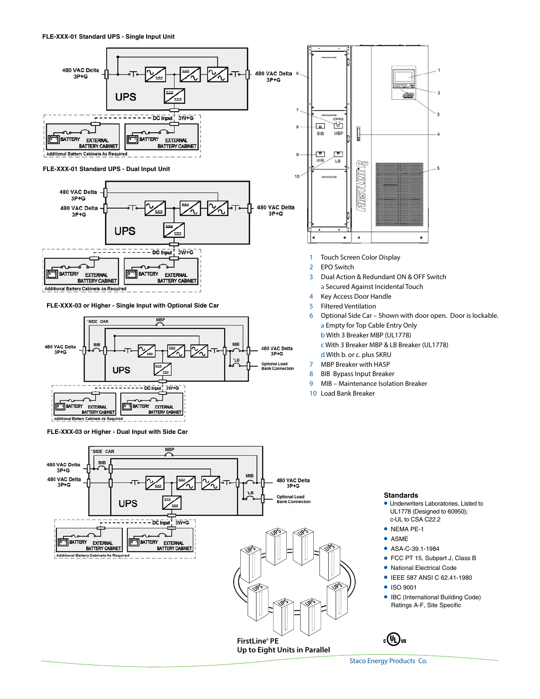

**Additional Battery Cabinets As Requi** 

**FLE-XXX-03 or Higher - Single Input with Optional Side Car**



**FLE-XXX-03 or Higher - Dual Input with Side Car**



- 3 Dual Action & Redundant ON & OFF Switch a Secured Against Incidental Touch
- 4 Key Access Door Handle
- 5 Filtered Ventilation
- 6 Optional Side Car Shown with door open. Door is lockable. a Empty for Top Cable Entry Only b With 3 Breaker MBP (UL1778) c With 3 Breaker MBP & LB Breaker (UL1778) d With b. or c. plus SKRU 7 MBP Breaker with HASP
- 8 BIB Bypass Input Breaker
- 9 MIB Maintenance Isolation Breaker
- 10 Load Bank Breaker

#### **Standards**

- **.** Underwriters Laboratories, Listed to UL1778 (Designed to 60950); c-UL to CSA C22.2
- $\bullet$  NEMA PE-1  $\bullet$  ASME
- 
- ASA-C-39.1-1984
- FCC PT 15, Subpart J, Class B
- National Electrical Code
- **IEEE 587 ANSI C 62.41-1980**
- l ISO 9001
- IBC (International Building Code) Ratings A-F, Site Specific



Staco Energy Products Co.